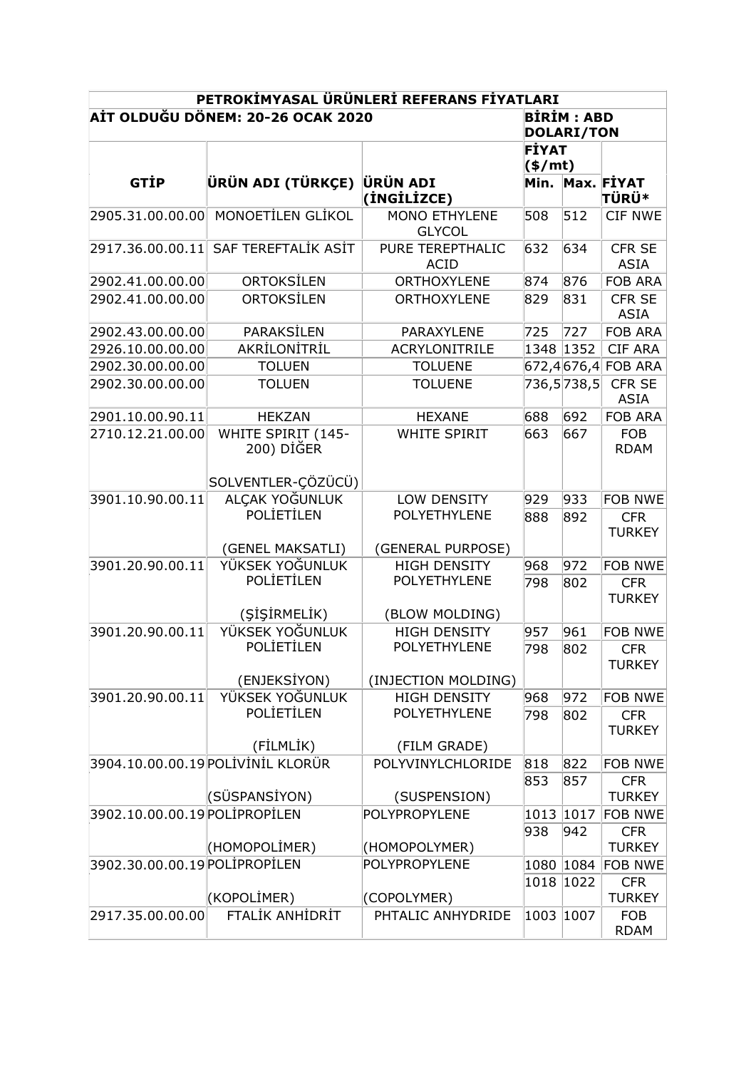| PETROKİMYASAL ÜRÜNLERİ REFERANS FİYATLARI |                                                |                                        |                   |            |                              |
|-------------------------------------------|------------------------------------------------|----------------------------------------|-------------------|------------|------------------------------|
| AİT OLDUĞU DÖNEM: 20-26 OCAK 2020         |                                                |                                        | <b>BİRİM: ABD</b> |            |                              |
|                                           |                                                |                                        | <b>DOLARI/TON</b> |            |                              |
|                                           |                                                |                                        | FİYAT<br>(s/mt)   |            |                              |
|                                           |                                                |                                        |                   |            |                              |
| <b>GTIP</b>                               | ÜRÜN ADI (TÜRKÇE)                              | ÜRÜN ADI                               | Min.              |            | Max. FİYAT                   |
|                                           |                                                | (INGILIZCE)                            |                   |            | <b>TÜRÜ*</b>                 |
| 2905.31.00.00.00                          | MONOETİLEN GLİKOL                              | MONO ETHYLENE<br><b>GLYCOL</b>         | 508               | 512        | <b>CIF NWE</b>               |
| 2917.36.00.00.11                          | SAF TEREFTALİK ASİT                            | <b>PURE TEREPTHALIC</b><br><b>ACID</b> | 632               | 634        | CFR SE<br><b>ASIA</b>        |
| 2902.41.00.00.00                          | ORTOKSİLEN                                     | ORTHOXYLENE                            | 874               | 876        | <b>FOB ARA</b>               |
| 2902.41.00.00.00                          | ORTOKSİLEN                                     | <b>ORTHOXYLENE</b>                     | 829               | 831        | <b>CFR SE</b><br><b>ASIA</b> |
| 2902.43.00.00.00                          | PARAKSİLEN                                     | PARAXYLENE                             | 725               | 727        | <b>FOB ARA</b>               |
| 2926.10.00.00.00                          | AKRİLONİTRİL                                   | <b>ACRYLONITRILE</b>                   | 1348              | 1352       | <b>CIF ARA</b>               |
| 2902.30.00.00.00                          | <b>TOLUEN</b>                                  | <b>TOLUENE</b>                         |                   |            | 672,4676,4FOB ARA            |
| 2902.30.00.00.00                          | <b>TOLUEN</b>                                  | <b>TOLUENE</b>                         |                   | 736,5738,5 | CFR SE<br><b>ASIA</b>        |
| 2901.10.00.90.11                          | <b>HEKZAN</b>                                  | <b>HEXANE</b>                          | 688               | 692        | <b>FOB ARA</b>               |
| 2710.12.21.00.00                          | WHITE SPIRIT (145-<br>200) DİĞER               | <b>WHITE SPIRIT</b>                    | 663               | 667        | <b>FOB</b><br><b>RDAM</b>    |
|                                           | SOLVENTLER-ÇÖZÜCÜ)                             |                                        |                   |            |                              |
| 3901.10.90.00.11                          | ALÇAK YOĞUNLUK                                 | LOW DENSITY                            | 929               | 933        | <b>FOB NWE</b>               |
|                                           | POLIETILEN                                     | POLYETHYLENE                           | 888               | 892        | <b>CFR</b><br><b>TURKEY</b>  |
|                                           | (GENEL MAKSATLI)                               | (GENERAL PURPOSE)                      |                   |            |                              |
| 3901.20.90.00.11                          | YÜKSEK YOĞUNLUK                                | <b>HIGH DENSITY</b>                    | 968               | 972        | <b>FOB NWE</b>               |
|                                           | POLIETILEN                                     | POLYETHYLENE                           | 798               | 802        | <b>CFR</b><br><b>TURKEY</b>  |
|                                           | (ŞİŞİRMELİK)                                   | (BLOW MOLDING)                         |                   |            |                              |
| 3901.20.90.00.11                          | YÜKSEK YOĞUNLUK                                | <b>HIGH DENSITY</b>                    | 957               | 961        | <b>FOB NWE</b>               |
|                                           | POLİETİLEN                                     | POLYETHYLENE                           | 798               | 802        | <b>CFR</b><br>TURKEY         |
|                                           | (ENJEKSİYON)                                   | (INJECTION MOLDING)                    |                   |            |                              |
| 3901.20.90.00.11                          | YÜKSEK YOĞUNLUK                                | <b>HIGH DENSITY</b><br>POLYETHYLENE    | 968               | 972        | <b>FOB NWE</b>               |
|                                           | POLİETİLEN                                     |                                        | 798               | 802        | <b>CFR</b><br><b>TURKEY</b>  |
|                                           | (FİLMLİK)<br>3904.10.00.00.19 POLİVİNİL KLORÜR | (FILM GRADE)<br>POLYVINYLCHLORIDE      |                   |            |                              |
|                                           |                                                |                                        | 818               | 822        | <b>FOB NWE</b>               |
|                                           | (SÜSPANSİYON)                                  | (SUSPENSION)                           | 853               | 857        | <b>CFR</b><br><b>TURKEY</b>  |
| 3902.10.00.00.19 POLIPROPILEN             |                                                | POLYPROPYLENE                          | 1013              | 1017       | <b>FOB NWE</b>               |
|                                           |                                                |                                        | 938               | 942        | <b>CFR</b>                   |
|                                           | (HOMOPOLİMER)                                  | (HOMOPOLYMER)                          |                   |            | <b>TURKEY</b>                |
| 3902.30.00.00.19 POLIPROPILEN             |                                                | POLYPROPYLENE                          | 1080              | 1084       | <b>FOB NWE</b>               |
|                                           |                                                |                                        | 1018              | 1022       | <b>CFR</b>                   |
|                                           | (KOPOLIMER)<br>FTALİK ANHİDRİT                 | (COPOLYMER)<br>PHTALIC ANHYDRIDE       |                   |            | <b>TURKEY</b>                |
| 2917.35.00.00.00                          |                                                |                                        | 1003              | 1007       | <b>FOB</b><br><b>RDAM</b>    |